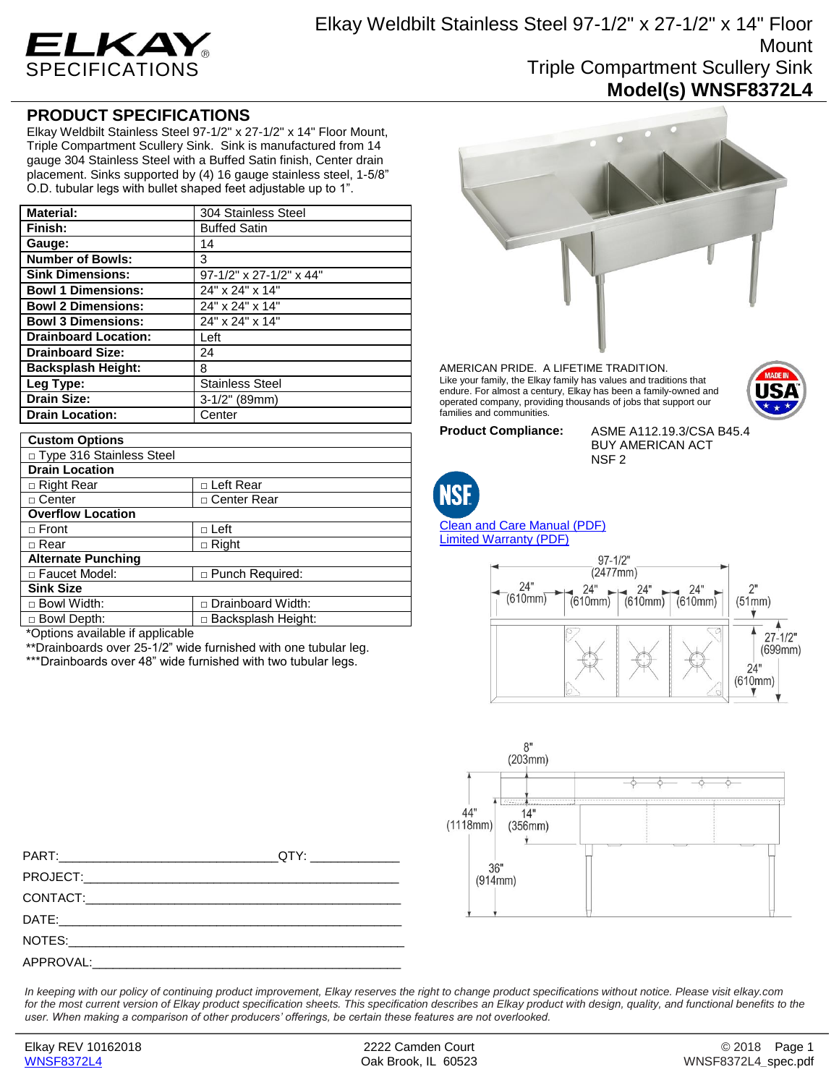

## **PRODUCT SPECIFICATIONS**

Elkay Weldbilt Stainless Steel 97-1/2" x 27-1/2" x 14" Floor Mount, Triple Compartment Scullery Sink. Sink is manufactured from 14 gauge 304 Stainless Steel with a Buffed Satin finish, Center drain placement. Sinks supported by (4) 16 gauge stainless steel, 1-5/8" O.D. tubular legs with bullet shaped feet adjustable up to 1".

| <b>Material:</b>            | 304 Stainless Steel        |
|-----------------------------|----------------------------|
| Finish:                     | <b>Buffed Satin</b>        |
| Gauge:                      | 14                         |
| <b>Number of Bowls:</b>     | 3                          |
| <b>Sink Dimensions:</b>     | $97-1/2$ " x 27-1/2" x 44" |
| <b>Bowl 1 Dimensions:</b>   | 24" x 24" x 14"            |
| <b>Bowl 2 Dimensions:</b>   | 24" x 24" x 14"            |
| <b>Bowl 3 Dimensions:</b>   | 24" x 24" x 14"            |
| <b>Drainboard Location:</b> | Left                       |
| <b>Drainboard Size:</b>     | 24                         |
| <b>Backsplash Height:</b>   | 8                          |
| Leg Type:                   | <b>Stainless Steel</b>     |
| <b>Drain Size:</b>          | $3-1/2"$ (89mm)            |
| <b>Drain Location:</b>      | Center                     |

| <b>Custom Options</b>      |                        |
|----------------------------|------------------------|
| □ Type 316 Stainless Steel |                        |
| <b>Drain Location</b>      |                        |
| □ Right Rear               | □ Left Rear            |
| □ Center                   | □ Center Rear          |
| <b>Overflow Location</b>   |                        |
| $\Box$ Front               | $\Box$ Left            |
| □ Rear                     | $\Box$ Right           |
| <b>Alternate Punching</b>  |                        |
| □ Faucet Model:            | $\Box$ Punch Required: |
| <b>Sink Size</b>           |                        |
| $\Box$ Bowl Width:         | □ Drainboard Width:    |
| □ Bowl Depth:              | □ Backsplash Height:   |
| .                          |                        |

\*Options available if applicable

\*\*Drainboards over 25-1/2" wide furnished with one tubular leg.

\*\*\*Drainboards over 48" wide furnished with two tubular legs.



AMERICAN PRIDE. A LIFETIME TRADITION. Like your family, the Elkay family has values and traditions that endure. For almost a century, Elkay has been a family-owned and operated company, providing thousands of jobs that support our families and communities.



**Product Compliance:** ASME A112.19.3/CSA B45.4 BUY AMERICAN ACT NSF 2



[Clean and Care Manual \(PDF\)](http://www.elkay.com/wcsstore/lkdocs/care-cleaning-install-warranty-sheets/residential%20and%20commercial%20care%20%20cleaning.pdf) [Limited Warranty](http://www.elkay.com/wcsstore/lkdocs/care-cleaning-install-warranty-sheets/commercial%20sinks%20and%20faucets%20warranty.pdf) (PDF)





PART:\_\_\_\_\_\_\_\_\_\_\_\_\_\_\_\_\_\_\_\_\_\_\_\_\_\_\_\_\_\_\_\_QTY: \_\_\_\_\_\_\_\_\_\_\_\_\_ PROJECT: CONTACT: DATE:\_\_\_\_\_\_\_\_\_\_\_\_\_\_\_\_\_\_\_\_\_\_\_\_\_\_\_\_\_\_\_\_\_\_\_\_\_\_\_\_\_\_\_\_\_\_\_\_\_\_ NOTES: APPROVAL:

*In keeping with our policy of continuing product improvement, Elkay reserves the right to change product specifications without notice. Please visit elkay.com*  for the most current version of Elkay product specification sheets. This specification describes an Elkay product with design, quality, and functional benefits to the *user. When making a comparison of other producers' offerings, be certain these features are not overlooked.*